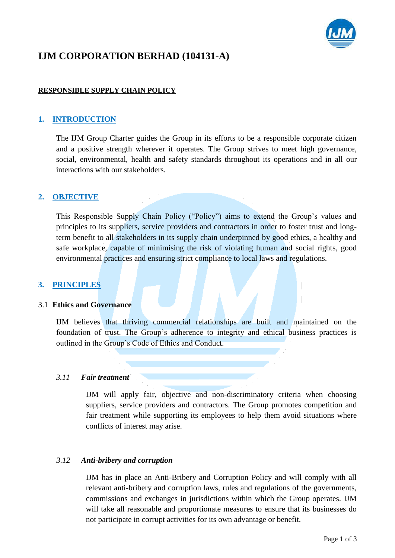

# **IJM CORPORATION BERHAD (104131-A)**

## **RESPONSIBLE SUPPLY CHAIN POLICY**

## **1. INTRODUCTION**

The IJM Group Charter guides the Group in its efforts to be a responsible corporate citizen and a positive strength wherever it operates. The Group strives to meet high governance, social, environmental, health and safety standards throughout its operations and in all our interactions with our stakeholders.

## **2. OBJECTIVE**

This Responsible Supply Chain Policy ("Policy") aims to extend the Group's values and principles to its suppliers, service providers and contractors in order to foster trust and longterm benefit to all stakeholders in its supply chain underpinned by good ethics, a healthy and safe workplace, capable of minimising the risk of violating human and social rights, good environmental practices and ensuring strict compliance to local laws and regulations.

## **3. PRINCIPLES**

#### 3.1 **Ethics and Governance**

IJM believes that thriving commercial relationships are built and maintained on the foundation of trust. The Group's adherence to integrity and ethical business practices is outlined in the Group's Code of Ethics and Conduct.

#### *3.11 Fair treatment*

IJM will apply fair, objective and non-discriminatory criteria when choosing suppliers, service providers and contractors. The Group promotes competition and fair treatment while supporting its employees to help them avoid situations where conflicts of interest may arise.

#### *3.12 Anti-bribery and corruption*

IJM has in place an Anti-Bribery and Corruption Policy and will comply with all relevant anti-bribery and corruption laws, rules and regulations of the governments, commissions and exchanges in jurisdictions within which the Group operates. IJM will take all reasonable and proportionate measures to ensure that its businesses do not participate in corrupt activities for its own advantage or benefit.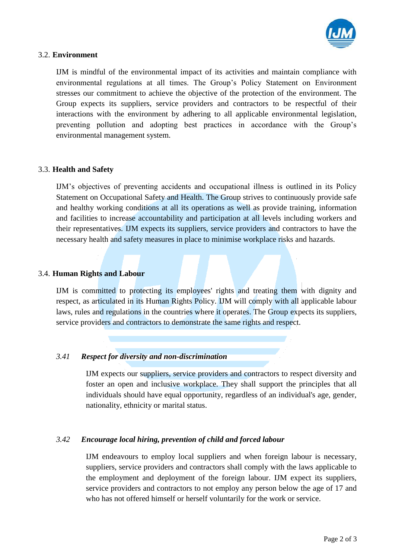

#### 3.2. **Environment**

IJM is mindful of the environmental impact of its activities and maintain compliance with environmental regulations at all times. The Group's Policy Statement on Environment stresses our commitment to achieve the objective of the protection of the environment. The Group expects its suppliers, service providers and contractors to be respectful of their interactions with the environment by adhering to all applicable environmental legislation, preventing pollution and adopting best practices in accordance with the Group's environmental management system.

## 3.3. **Health and Safety**

IJM's objectives of preventing accidents and occupational illness is outlined in its Policy Statement on Occupational Safety and Health. The Group strives to continuously provide safe and healthy working conditions at all its operations as well as provide training, information and facilities to increase accountability and participation at all levels including workers and their representatives. IJM expects its suppliers, service providers and contractors to have the necessary health and safety measures in place to minimise workplace risks and hazards.

#### 3.4. **Human Rights and Labour**

IJM is committed to protecting its employees' rights and treating them with dignity and respect, as articulated in its Human Rights Policy. IJM will comply with all applicable labour laws, rules and regulations in the countries where it operates. The Group expects its suppliers, service providers and contractors to demonstrate the same rights and respect.

## *3.41 Respect for diversity and non-discrimination*

IJM expects our suppliers, service providers and contractors to respect diversity and foster an open and inclusive workplace. They shall support the principles that all individuals should have equal opportunity, regardless of an individual's age, gender, nationality, ethnicity or marital status.

## *3.42 Encourage local hiring, prevention of child and forced labour*

IJM endeavours to employ local suppliers and when foreign labour is necessary, suppliers, service providers and contractors shall comply with the laws applicable to the employment and deployment of the foreign labour. IJM expect its suppliers, service providers and contractors to not employ any person below the age of 17 and who has not offered himself or herself voluntarily for the work or service.